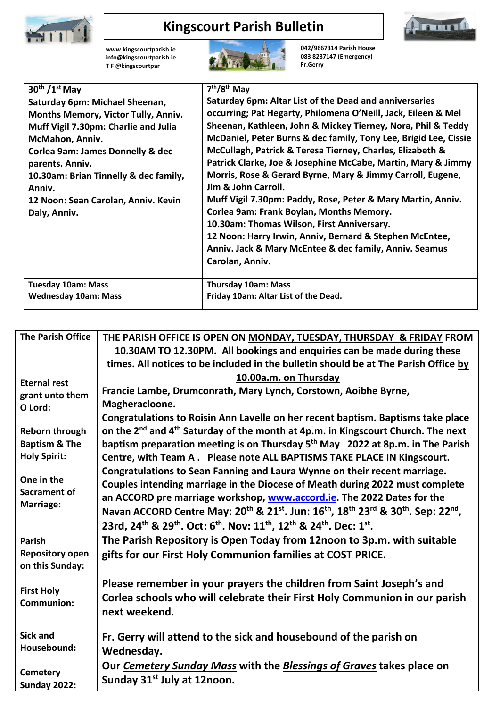

## **Kingscourt Parish Bulletin**



**[www.kingscourtparish.ie](http://www.kingscourtparish.ie/) info@kingscourtparish.ie T F @kingscourtpar** 



**042/9667314 Parish House 083 8287147 (Emergency) Fr.Gerry**

| $30th / 1st$ May                            | 7 <sup>th</sup> /8 <sup>th</sup> May                             |
|---------------------------------------------|------------------------------------------------------------------|
| Saturday 6pm: Michael Sheenan,              | Saturday 6pm: Altar List of the Dead and anniversaries           |
| Months Memory, Victor Tully, Anniv.         | occurring; Pat Hegarty, Philomena O'Neill, Jack, Eileen & Mel    |
| Muff Vigil 7.30pm: Charlie and Julia        | Sheenan, Kathleen, John & Mickey Tierney, Nora, Phil & Teddy     |
| McMahon, Anniv.                             | McDaniel, Peter Burns & dec family, Tony Lee, Brigid Lee, Cissie |
| <b>Corlea 9am: James Donnelly &amp; dec</b> | McCullagh, Patrick & Teresa Tierney, Charles, Elizabeth &        |
| parents. Anniv.                             | Patrick Clarke, Joe & Josephine McCabe, Martin, Mary & Jimmy     |
| 10.30am: Brian Tinnelly & dec family,       | Morris, Rose & Gerard Byrne, Mary & Jimmy Carroll, Eugene,       |
| Anniv.                                      | Jim & John Carroll.                                              |
| 12 Noon: Sean Carolan, Anniv. Kevin         | Muff Vigil 7.30pm: Paddy, Rose, Peter & Mary Martin, Anniv.      |
| Daly, Anniv.                                | Corlea 9am: Frank Boylan, Months Memory.                         |
|                                             | 10.30am: Thomas Wilson, First Anniversary.                       |
|                                             | 12 Noon: Harry Irwin, Anniv, Bernard & Stephen McEntee,          |
|                                             | Anniv. Jack & Mary McEntee & dec family, Anniv. Seamus           |
|                                             | Carolan, Anniv.                                                  |
|                                             |                                                                  |
| <b>Tuesday 10am: Mass</b>                   | <b>Thursday 10am: Mass</b>                                       |
| <b>Wednesday 10am: Mass</b>                 | Friday 10am: Altar List of the Dead.                             |

| <b>The Parish Office</b>                                                 | THE PARISH OFFICE IS OPEN ON MONDAY, TUESDAY, THURSDAY & FRIDAY FROM<br>10.30AM TO 12.30PM. All bookings and enquiries can be made during these                                                                                                                                                                                                                                                                                                                                                                                                                         |
|--------------------------------------------------------------------------|-------------------------------------------------------------------------------------------------------------------------------------------------------------------------------------------------------------------------------------------------------------------------------------------------------------------------------------------------------------------------------------------------------------------------------------------------------------------------------------------------------------------------------------------------------------------------|
|                                                                          | times. All notices to be included in the bulletin should be at The Parish Office by                                                                                                                                                                                                                                                                                                                                                                                                                                                                                     |
| <b>Eternal rest</b><br>grant unto them<br>O Lord:                        | 10.00a.m. on Thursday<br>Francie Lambe, Drumconrath, Mary Lynch, Corstown, Aoibhe Byrne,<br>Magheracloone.<br>Congratulations to Roisin Ann Lavelle on her recent baptism. Baptisms take place                                                                                                                                                                                                                                                                                                                                                                          |
| <b>Reborn through</b><br><b>Baptism &amp; The</b><br><b>Holy Spirit:</b> | on the 2 <sup>nd</sup> and 4 <sup>th</sup> Saturday of the month at 4p.m. in Kingscourt Church. The next<br>baptism preparation meeting is on Thursday 5 <sup>th</sup> May 2022 at 8p.m. in The Parish<br>Centre, with Team A. Please note ALL BAPTISMS TAKE PLACE IN Kingscourt.                                                                                                                                                                                                                                                                                       |
| One in the<br><b>Sacrament of</b><br>Marriage:                           | Congratulations to Sean Fanning and Laura Wynne on their recent marriage.<br>Couples intending marriage in the Diocese of Meath during 2022 must complete<br>an ACCORD pre marriage workshop, www.accord.ie. The 2022 Dates for the<br>Navan ACCORD Centre May: 20 <sup>th</sup> & 21 <sup>st</sup> . Jun: 16 <sup>th</sup> , 18 <sup>th</sup> 23 <sup>rd</sup> & 30 <sup>th</sup> . Sep: 22 <sup>nd</sup> ,<br>23rd, 24 <sup>th</sup> & 29 <sup>th</sup> . Oct: 6 <sup>th</sup> . Nov: 11 <sup>th</sup> , 12 <sup>th</sup> & 24 <sup>th</sup> . Dec: 1 <sup>st</sup> . |
| <b>Parish</b><br><b>Repository open</b><br>on this Sunday:               | The Parish Repository is Open Today from 12noon to 3p.m. with suitable<br>gifts for our First Holy Communion families at COST PRICE.                                                                                                                                                                                                                                                                                                                                                                                                                                    |
| <b>First Holy</b><br><b>Communion:</b>                                   | Please remember in your prayers the children from Saint Joseph's and<br>Corlea schools who will celebrate their First Holy Communion in our parish<br>next weekend.                                                                                                                                                                                                                                                                                                                                                                                                     |
| <b>Sick and</b><br>Housebound:                                           | Fr. Gerry will attend to the sick and housebound of the parish on<br>Wednesday.                                                                                                                                                                                                                                                                                                                                                                                                                                                                                         |
| <b>Cemetery</b><br><b>Sunday 2022:</b>                                   | Our Cemetery Sunday Mass with the Blessings of Graves takes place on<br>Sunday 31 <sup>st</sup> July at 12noon.                                                                                                                                                                                                                                                                                                                                                                                                                                                         |